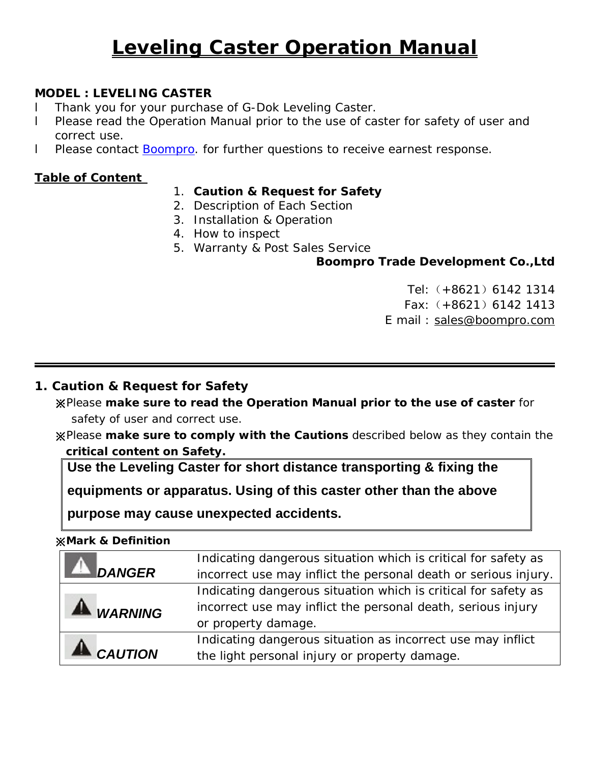# **Leveling Caster Operation Manual**

## **MODEL : LEVELING CASTER**

- l Thank you for your purchase of G-Dok Leveling Caster.
- l Please read the Operation Manual prior to the use of caster for safety of user and correct use.
- I Please contact **Boompro**. for further questions to receive earnest response.

### **Table of Content**

### 1. **Caution & Request for Safety**

- 2. Description of Each Section
- 3. Installation & Operation
- 4. How to inspect
- 5. Warranty & Post Sales Service

### **Boompro Trade Development Co.,Ltd**

Tel:(+8621)6142 1314 Fax:(+8621)6142 1413 E mail : [sales@boompro.com](mailto:sales@boompro.com)

## **1. Caution & Request for Safety**

**※**Please **make sure to read the Operation Manual prior to the use of caster** for safety of user and correct use.

**※**Please **make sure to comply with the Cautions** described below as they contain the **critical content on Safety.**

**Use the Leveling Caster for short distance transporting & fixing the** 

**equipments or apparatus. Using of this caster other than the above** 

**purpose may cause unexpected accidents.** 

**※Mark & Definition** 

|                | Indicating dangerous situation which is critical for safety as  |
|----------------|-----------------------------------------------------------------|
| <b>DANGER</b>  | incorrect use may inflict the personal death or serious injury. |
|                | Indicating dangerous situation which is critical for safety as  |
| <b>WARNING</b> | incorrect use may inflict the personal death, serious injury    |
|                | or property damage.                                             |
|                | Indicating dangerous situation as incorrect use may inflict     |
| <b>CAUTION</b> | the light personal injury or property damage.                   |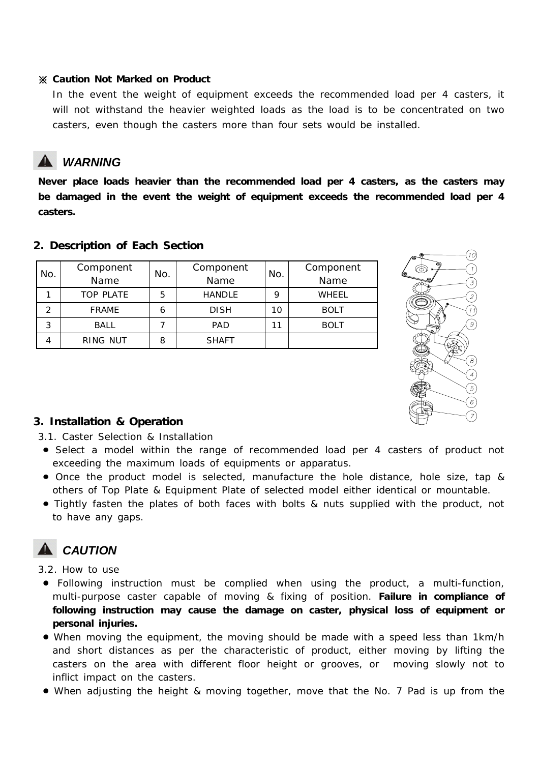#### **Caution Not Marked on Product**

 In the event the weight of equipment exceeds the recommended load per 4 casters, it will not withstand the heavier weighted loads as the load is to be concentrated on two casters, even though the casters more than four sets would be installed.

# *WARNING*

**Never place loads heavier than the recommended load per 4 casters, as the casters may be damaged in the event the weight of equipment exceeds the recommended load per 4 casters.** 

| No. | Component        | No. | Component     | No. | Component    |  |
|-----|------------------|-----|---------------|-----|--------------|--|
|     | Name             |     | Name          |     | Name         |  |
|     | <b>TOP PLATE</b> | 5   | <b>HANDLE</b> | 9   | <b>WHEEL</b> |  |
| 2   | <b>FRAME</b>     | 6   | <b>DISH</b>   | 10  | <b>BOLT</b>  |  |
| 3   | <b>BALL</b>      |     | <b>PAD</b>    | 11  | <b>BOLT</b>  |  |
| 4   | <b>RING NUT</b>  | 8   | <b>SHAFT</b>  |     |              |  |

### **2. Description of Each Section**



### **3. Installation & Operation**

- 3.1. Caster Selection & Installation
- Select a model within the range of recommended load per 4 casters of product not exceeding the maximum loads of equipments or apparatus.
- Once the product model is selected, manufacture the hole distance, hole size, tap & others of Top Plate & Equipment Plate of selected model either identical or mountable.
- Tightly fasten the plates of both faces with bolts & nuts supplied with the product, not to have any gaps.

# **A** CAUTION

3.2. How to use

- Following instruction must be complied when using the product, a multi-function, multi-purpose caster capable of moving & fixing of position. **Failure in compliance of following instruction may cause the damage on caster, physical loss of equipment or personal injuries.**
- When moving the equipment, the moving should be made with a speed less than 1km/h and short distances as per the characteristic of product, either moving by lifting the casters on the area with different floor height or grooves, or moving slowly not to inflict impact on the casters.
- When adjusting the height & moving together, move that the No. 7 Pad is up from the